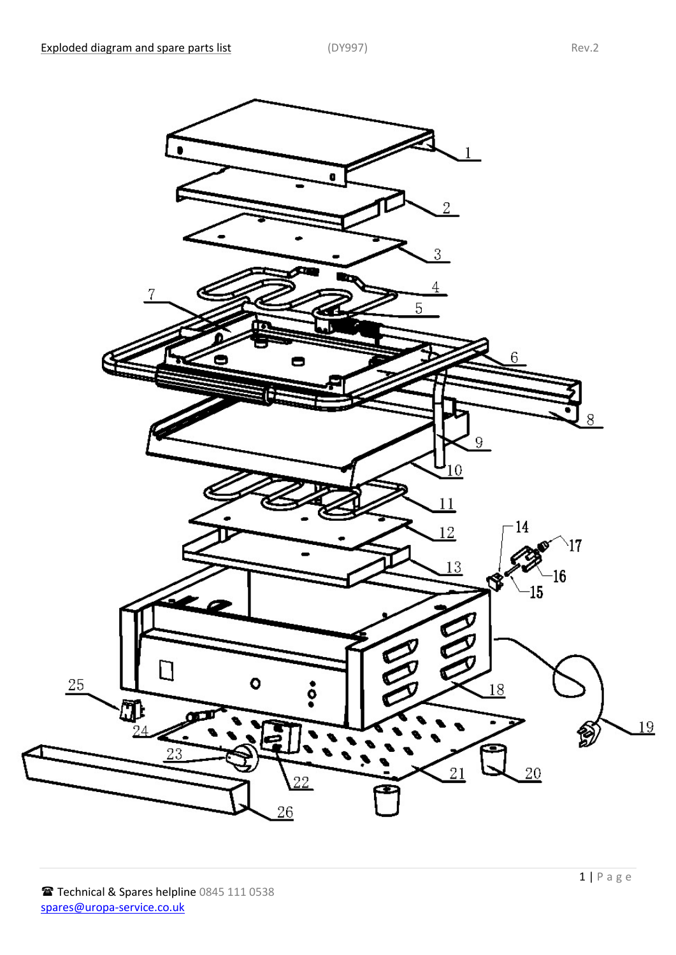